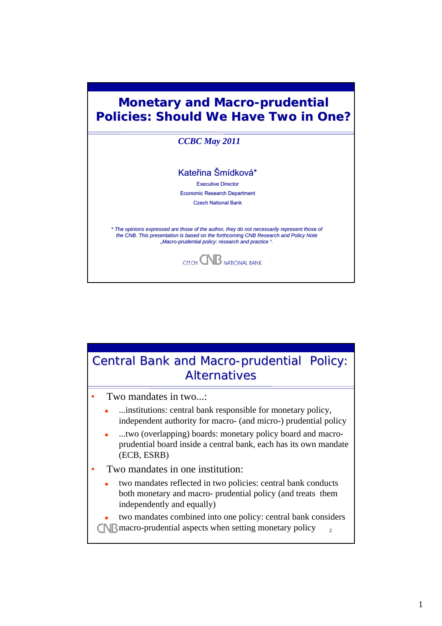

## $\overline{2}$ Central Bank and Macro-prudential Policy: **Alternatives** • Two mandates in two...: ...institutions: central bank responsible for monetary policy, independent authority for macro- (and micro-) prudential policy ...two (overlapping) boards: monetary policy board and macroprudential board inside a central bank, each has its own mandate (ECB, ESRB) Two mandates in one institution: two mandates reflected in two policies: central bank conducts both monetary and macro- prudential policy (and treats them independently and equally) two mandates combined into one policy: central bank considers **CNB** macro-prudential aspects when setting monetary policy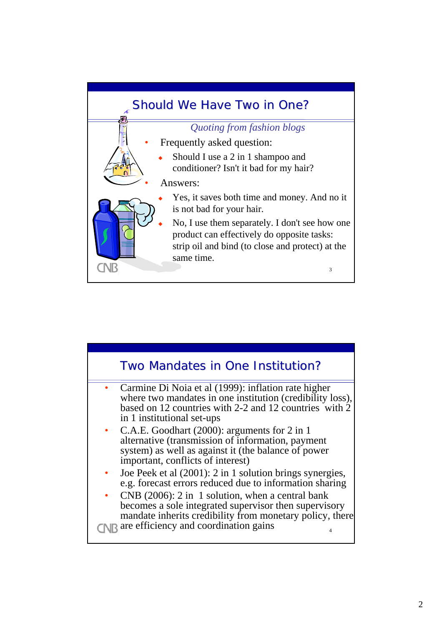

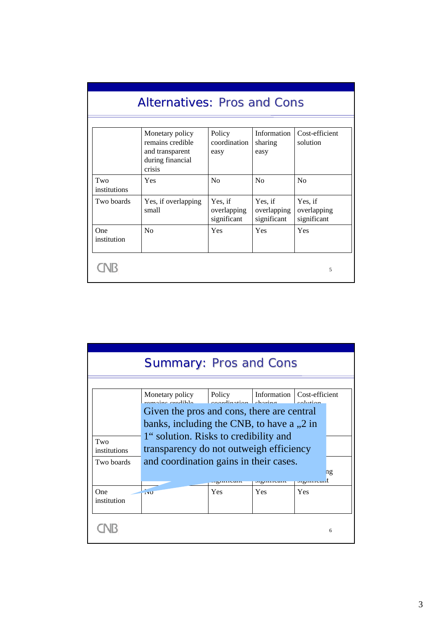| <b>Alternatives: Pros and Cons</b> |                                                                                      |                                       |                                       |                                       |  |  |
|------------------------------------|--------------------------------------------------------------------------------------|---------------------------------------|---------------------------------------|---------------------------------------|--|--|
|                                    | Monetary policy<br>remains credible<br>and transparent<br>during financial<br>crisis | Policy<br>coordination<br>easy        | Information<br>sharing<br>easy        | Cost-efficient<br>solution            |  |  |
| Two<br>institutions                | Yes                                                                                  | No                                    | N <sub>0</sub>                        | N <sub>0</sub>                        |  |  |
| Two boards                         | Yes, if overlapping<br>small                                                         | Yes, if<br>overlapping<br>significant | Yes, if<br>overlapping<br>significant | Yes, if<br>overlapping<br>significant |  |  |
| One<br>institution                 | N <sub>0</sub>                                                                       | Yes                                   | Yes                                   | Yes                                   |  |  |
|                                    |                                                                                      |                                       |                                       | 5                                     |  |  |

| <b>Summary: Pros and Cons</b> |                                                                                                                                                                                                               |                                       |                              |           |                    |  |  |
|-------------------------------|---------------------------------------------------------------------------------------------------------------------------------------------------------------------------------------------------------------|---------------------------------------|------------------------------|-----------|--------------------|--|--|
|                               |                                                                                                                                                                                                               |                                       |                              |           |                    |  |  |
|                               | Monetary policy<br>ramaing aradibla                                                                                                                                                                           | Policy<br>$\sim$ accrdination obering | Information   Cost-efficient | colution  |                    |  |  |
|                               | Given the pros and cons, there are central                                                                                                                                                                    |                                       |                              |           |                    |  |  |
|                               | banks, including the CNB, to have a , 2 in<br>1" solution. Risks to credibility and<br>Two<br>transparency do not outweigh efficiency<br>institutions<br>and coordination gains in their cases.<br>Two boards |                                       |                              |           |                    |  |  |
|                               |                                                                                                                                                                                                               |                                       |                              |           |                    |  |  |
|                               |                                                                                                                                                                                                               |                                       |                              |           |                    |  |  |
|                               |                                                                                                                                                                                                               | <b><i>Jigunivani</i></b>              | orginiream                   | لسحبستهية | $n_{\mathfrak{L}}$ |  |  |
| One<br>institution            | <b>TYU</b>                                                                                                                                                                                                    | Yes                                   | Yes                          | Yes       |                    |  |  |
|                               |                                                                                                                                                                                                               |                                       |                              |           | 6                  |  |  |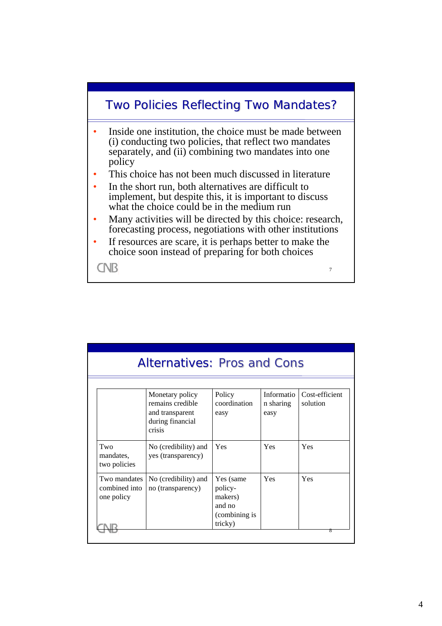

| <b>Alternatives: Pros and Cons</b>          |                                                                                      |                                                                       |                                 |                            |  |  |
|---------------------------------------------|--------------------------------------------------------------------------------------|-----------------------------------------------------------------------|---------------------------------|----------------------------|--|--|
|                                             | Monetary policy<br>remains credible<br>and transparent<br>during financial<br>crisis | Policy<br>coordination<br>easy                                        | Informatio<br>n sharing<br>easy | Cost-efficient<br>solution |  |  |
| Two<br>mandates.<br>two policies            | No (credibility) and<br>yes (transparency)                                           | Yes                                                                   | Yes                             | Yes                        |  |  |
| Two mandates<br>combined into<br>one policy | No (credibility) and<br>no (transparency)                                            | Yes (same<br>policy-<br>makers)<br>and no<br>(combining is<br>tricky) | Yes                             | Yes                        |  |  |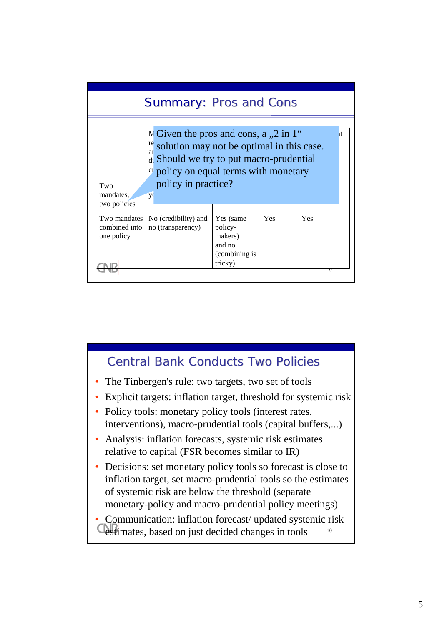

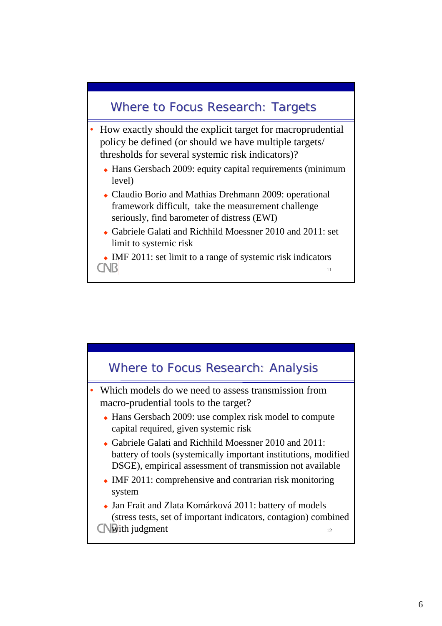## Where to Focus Research: Targets

- How exactly should the explicit target for macroprudential policy be defined (or should we have multiple targets/ thresholds for several systemic risk indicators)?
	- Hans Gersbach 2009: equity capital requirements (minimum level)
	- Claudio Borio and Mathias Drehmann 2009: operational framework difficult, take the measurement challenge seriously, find barometer of distress (EWI)
	- Gabriele Galati and Richhild Moessner 2010 and 2011: set limit to systemic risk
	- $\bullet$  IMF 2011: set limit to a range of systemic risk indicators **CNB** 11

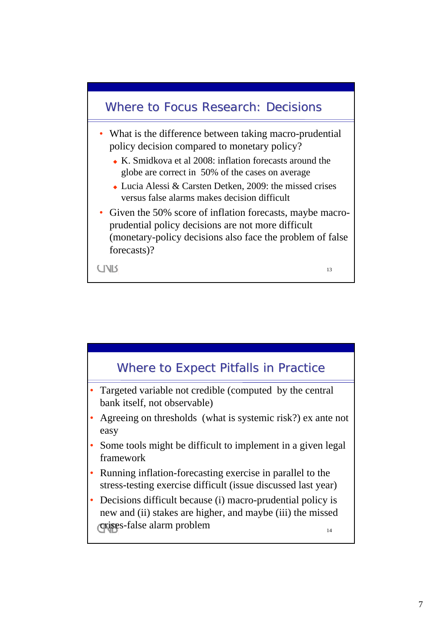

- What is the difference between taking macro-prudential policy decision compared to monetary policy?
	- K. Smidkova et al 2008: inflation forecasts around the globe are correct in 50% of the cases on average
	- Lucia Alessi & Carsten Detken, 2009: the missed crises versus false alarms makes decision difficult
- Given the 50% score of inflation forecasts, maybe macroprudential policy decisions are not more difficult (monetary-policy decisions also face the problem of false forecasts)?

13

**CIVIS** 

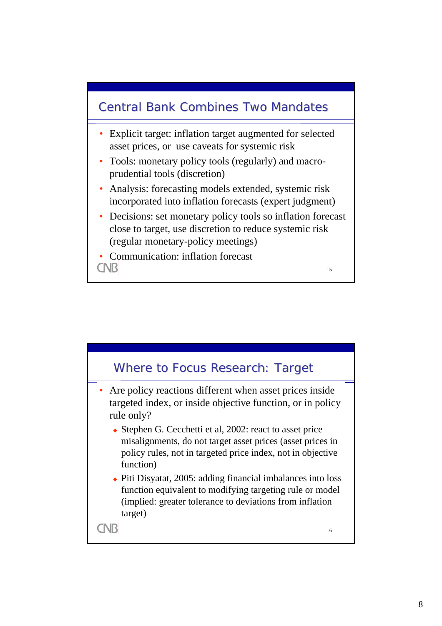

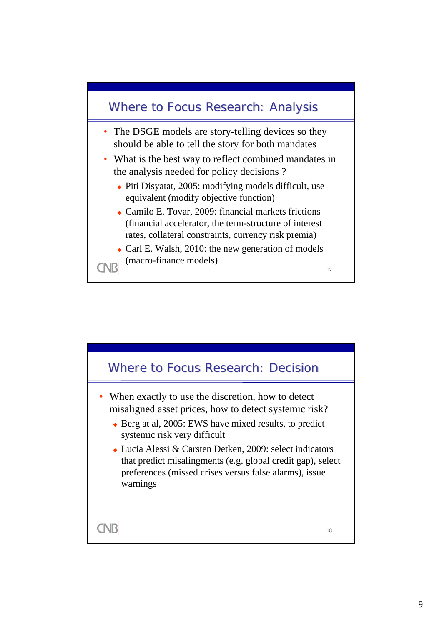

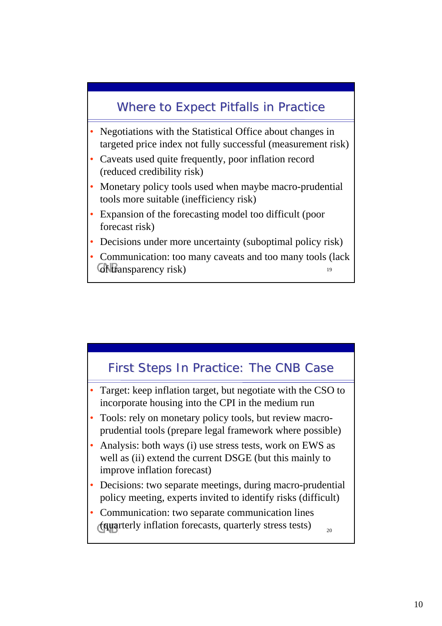## Where to Expect Pitfalls in Practice

- Negotiations with the Statistical Office about changes in targeted price index not fully successful (measurement risk)
- Caveats used quite frequently, poor inflation record (reduced credibility risk)
- Monetary policy tools used when maybe macro-prudential tools more suitable (inefficiency risk)
- Expansion of the forecasting model too difficult (poor forecast risk)
- Decisions under more uncertainty (suboptimal policy risk)
- 19 • Communication: too many caveats and too many tools (lack of transparency risk)

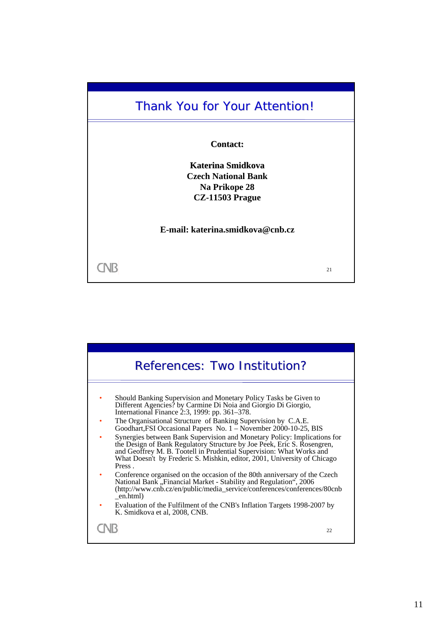